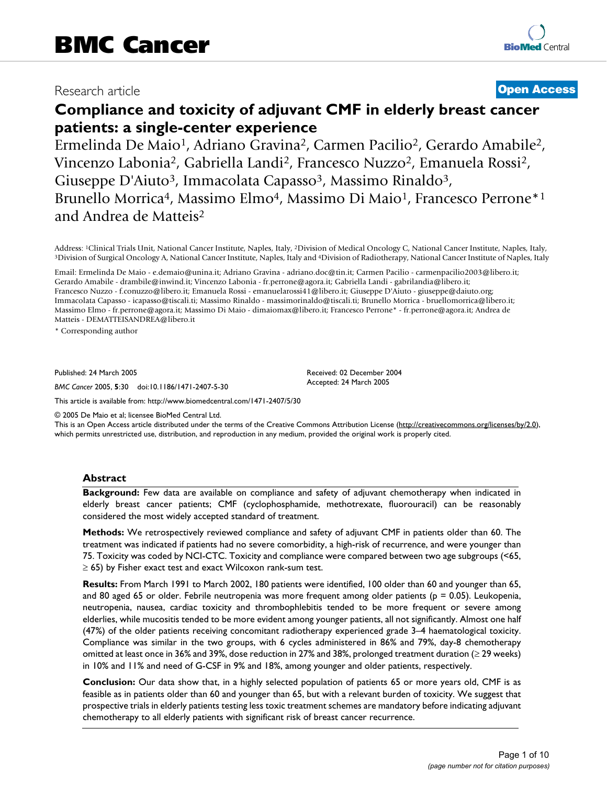## Research article **[Open Access](http://www.biomedcentral.com/info/about/charter/)**

# **Compliance and toxicity of adjuvant CMF in elderly breast cancer patients: a single-center experience**

Ermelinda De Maio<sup>1</sup>, Adriano Gravina<sup>2</sup>, Carmen Pacilio<sup>2</sup>, Gerardo Amabile<sup>2</sup>, Vincenzo Labonia2, Gabriella Landi2, Francesco Nuzzo2, Emanuela Rossi2, Giuseppe D'Aiuto<sup>3</sup>, Immacolata Capasso<sup>3</sup>, Massimo Rinaldo<sup>3</sup>, Brunello Morrica<sup>4</sup>, Massimo Elmo<sup>4</sup>, Massimo Di Maio<sup>1</sup>, Francesco Perrone<sup>\*1</sup> and Andrea de Matteis2

Address: <sup>1</sup>Clinical Trials Unit, National Cancer Institute, Naples, Italy, <sup>2</sup>Division of Medical Oncology C, National Cancer Institute, Naples, Italy, <sup>3</sup>Division of Surgical Oncology A, National Cancer Institute of Napl

Email: Ermelinda De Maio - e.demaio@unina.it; Adriano Gravina - adriano.doc@tin.it; Carmen Pacilio - carmenpacilio2003@libero.it; Gerardo Amabile - drambile@inwind.it; Vincenzo Labonia - fr.perrone@agora.it; Gabriella Landi - gabrilandia@libero.it; Francesco Nuzzo - f.conuzzo@libero.it; Emanuela Rossi - emanuelarossi41@libero.it; Giuseppe D'Aiuto - giuseppe@daiuto.org; Immacolata Capasso - icapasso@tiscali.ti; Massimo Rinaldo - massimorinaldo@tiscali.ti; Brunello Morrica - bruellomorrica@libero.it; Massimo Elmo - fr.perrone@agora.it; Massimo Di Maio - dimaiomax@libero.it; Francesco Perrone\* - fr.perrone@agora.it; Andrea de Matteis - DEMATTEISANDREA@libero.it

\* Corresponding author

Published: 24 March 2005

*BMC Cancer* 2005, **5**:30 doi:10.1186/1471-2407-5-30

[This article is available from: http://www.biomedcentral.com/1471-2407/5/30](http://www.biomedcentral.com/1471-2407/5/30)

© 2005 De Maio et al; licensee BioMed Central Ltd.

This is an Open Access article distributed under the terms of the Creative Commons Attribution License [\(http://creativecommons.org/licenses/by/2.0\)](http://creativecommons.org/licenses/by/2.0), which permits unrestricted use, distribution, and reproduction in any medium, provided the original work is properly cited.

Received: 02 December 2004 Accepted: 24 March 2005

#### **Abstract**

**Background:** Few data are available on compliance and safety of adjuvant chemotherapy when indicated in elderly breast cancer patients; CMF (cyclophosphamide, methotrexate, fluorouracil) can be reasonably considered the most widely accepted standard of treatment.

**Methods:** We retrospectively reviewed compliance and safety of adjuvant CMF in patients older than 60. The treatment was indicated if patients had no severe comorbidity, a high-risk of recurrence, and were younger than 75. Toxicity was coded by NCI-CTC. Toxicity and compliance were compared between two age subgroups (<65, ≥ 65) by Fisher exact test and exact Wilcoxon rank-sum test.

**Results:** From March 1991 to March 2002, 180 patients were identified, 100 older than 60 and younger than 65, and 80 aged 65 or older. Febrile neutropenia was more frequent among older patients ( $p = 0.05$ ). Leukopenia, neutropenia, nausea, cardiac toxicity and thrombophlebitis tended to be more frequent or severe among elderlies, while mucositis tended to be more evident among younger patients, all not significantly. Almost one half (47%) of the older patients receiving concomitant radiotherapy experienced grade 3–4 haematological toxicity. Compliance was similar in the two groups, with 6 cycles administered in 86% and 79%, day-8 chemotherapy omitted at least once in 36% and 39%, dose reduction in 27% and 38%, prolonged treatment duration (≥ 29 weeks) in 10% and 11% and need of G-CSF in 9% and 18%, among younger and older patients, respectively.

**Conclusion:** Our data show that, in a highly selected population of patients 65 or more years old, CMF is as feasible as in patients older than 60 and younger than 65, but with a relevant burden of toxicity. We suggest that prospective trials in elderly patients testing less toxic treatment schemes are mandatory before indicating adjuvant chemotherapy to all elderly patients with significant risk of breast cancer recurrence.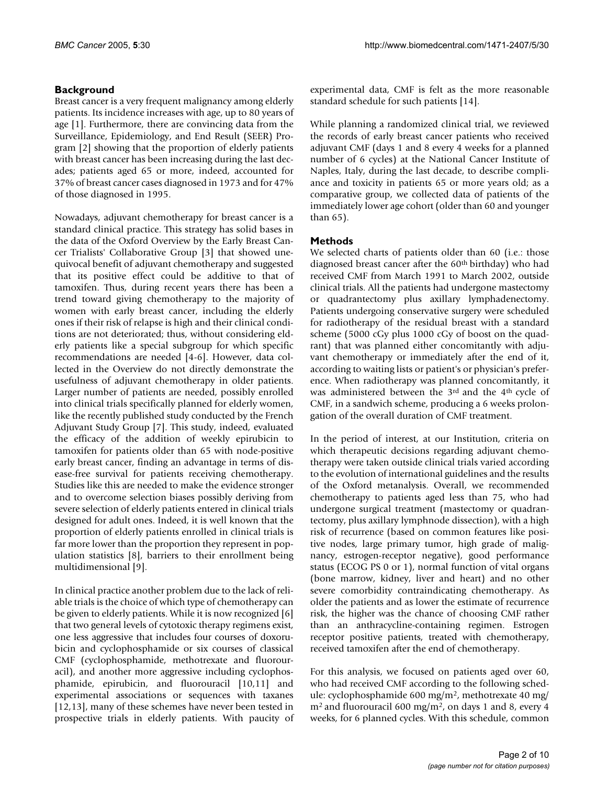## **Background**

Breast cancer is a very frequent malignancy among elderly patients. Its incidence increases with age, up to 80 years of age [1]. Furthermore, there are convincing data from the Surveillance, Epidemiology, and End Result (SEER) Program [2] showing that the proportion of elderly patients with breast cancer has been increasing during the last decades; patients aged 65 or more, indeed, accounted for 37% of breast cancer cases diagnosed in 1973 and for 47% of those diagnosed in 1995.

Nowadays, adjuvant chemotherapy for breast cancer is a standard clinical practice. This strategy has solid bases in the data of the Oxford Overview by the Early Breast Cancer Trialists' Collaborative Group [3] that showed unequivocal benefit of adjuvant chemotherapy and suggested that its positive effect could be additive to that of tamoxifen. Thus, during recent years there has been a trend toward giving chemotherapy to the majority of women with early breast cancer, including the elderly ones if their risk of relapse is high and their clinical conditions are not deteriorated; thus, without considering elderly patients like a special subgroup for which specific recommendations are needed [4-6]. However, data collected in the Overview do not directly demonstrate the usefulness of adjuvant chemotherapy in older patients. Larger number of patients are needed, possibly enrolled into clinical trials specifically planned for elderly women, like the recently published study conducted by the French Adjuvant Study Group [7]. This study, indeed, evaluated the efficacy of the addition of weekly epirubicin to tamoxifen for patients older than 65 with node-positive early breast cancer, finding an advantage in terms of disease-free survival for patients receiving chemotherapy. Studies like this are needed to make the evidence stronger and to overcome selection biases possibly deriving from severe selection of elderly patients entered in clinical trials designed for adult ones. Indeed, it is well known that the proportion of elderly patients enrolled in clinical trials is far more lower than the proportion they represent in population statistics [8], barriers to their enrollment being multidimensional [9].

In clinical practice another problem due to the lack of reliable trials is the choice of which type of chemotherapy can be given to elderly patients. While it is now recognized [6] that two general levels of cytotoxic therapy regimens exist, one less aggressive that includes four courses of doxorubicin and cyclophosphamide or six courses of classical CMF (cyclophosphamide, methotrexate and fluorouracil), and another more aggressive including cyclophosphamide, epirubicin, and fluorouracil [10,11] and experimental associations or sequences with taxanes [12,13], many of these schemes have never been tested in prospective trials in elderly patients. With paucity of experimental data, CMF is felt as the more reasonable standard schedule for such patients [14].

While planning a randomized clinical trial, we reviewed the records of early breast cancer patients who received adjuvant CMF (days 1 and 8 every 4 weeks for a planned number of 6 cycles) at the National Cancer Institute of Naples, Italy, during the last decade, to describe compliance and toxicity in patients 65 or more years old; as a comparative group, we collected data of patients of the immediately lower age cohort (older than 60 and younger than 65).

## **Methods**

We selected charts of patients older than 60 (i.e.: those diagnosed breast cancer after the 60<sup>th</sup> birthday) who had received CMF from March 1991 to March 2002, outside clinical trials. All the patients had undergone mastectomy or quadrantectomy plus axillary lymphadenectomy. Patients undergoing conservative surgery were scheduled for radiotherapy of the residual breast with a standard scheme (5000 cGy plus 1000 cGy of boost on the quadrant) that was planned either concomitantly with adjuvant chemotherapy or immediately after the end of it, according to waiting lists or patient's or physician's preference. When radiotherapy was planned concomitantly, it was administered between the 3rd and the 4th cycle of CMF, in a sandwich scheme, producing a 6 weeks prolongation of the overall duration of CMF treatment.

In the period of interest, at our Institution, criteria on which therapeutic decisions regarding adjuvant chemotherapy were taken outside clinical trials varied according to the evolution of international guidelines and the results of the Oxford metanalysis. Overall, we recommended chemotherapy to patients aged less than 75, who had undergone surgical treatment (mastectomy or quadrantectomy, plus axillary lymphnode dissection), with a high risk of recurrence (based on common features like positive nodes, large primary tumor, high grade of malignancy, estrogen-receptor negative), good performance status (ECOG PS 0 or 1), normal function of vital organs (bone marrow, kidney, liver and heart) and no other severe comorbidity contraindicating chemotherapy. As older the patients and as lower the estimate of recurrence risk, the higher was the chance of choosing CMF rather than an anthracycline-containing regimen. Estrogen receptor positive patients, treated with chemotherapy, received tamoxifen after the end of chemotherapy.

For this analysis, we focused on patients aged over 60, who had received CMF according to the following schedule: cyclophosphamide 600 mg/m2, methotrexate 40 mg/  $m<sup>2</sup>$  and fluorouracil 600 mg/m<sup>2</sup>, on days 1 and 8, every 4 weeks, for 6 planned cycles. With this schedule, common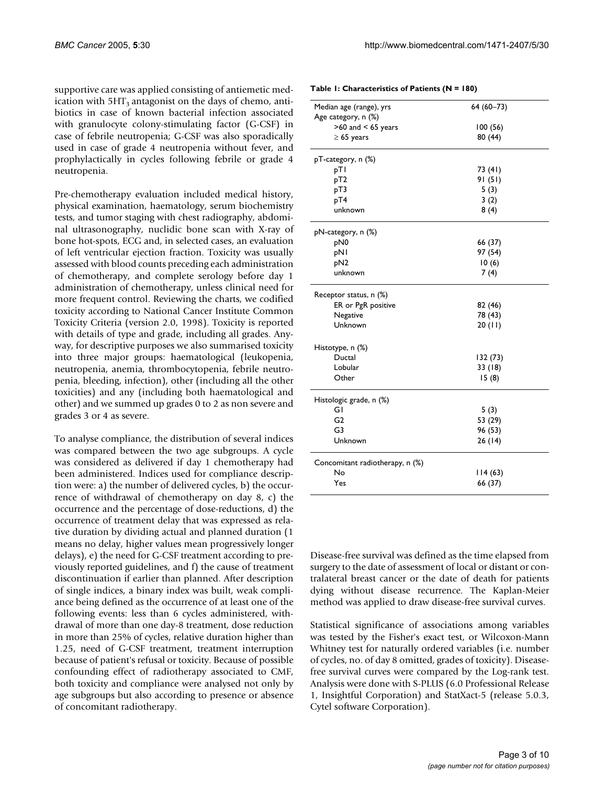supportive care was applied consisting of antiemetic medication with  $5HT_3$  antagonist on the days of chemo, antibiotics in case of known bacterial infection associated with granulocyte colony-stimulating factor (G-CSF) in case of febrile neutropenia; G-CSF was also sporadically used in case of grade 4 neutropenia without fever, and prophylactically in cycles following febrile or grade 4 neutropenia.

Pre-chemotherapy evaluation included medical history, physical examination, haematology, serum biochemistry tests, and tumor staging with chest radiography, abdominal ultrasonography, nuclidic bone scan with X-ray of bone hot-spots, ECG and, in selected cases, an evaluation of left ventricular ejection fraction. Toxicity was usually assessed with blood counts preceding each administration of chemotherapy, and complete serology before day 1 administration of chemotherapy, unless clinical need for more frequent control. Reviewing the charts, we codified toxicity according to National Cancer Institute Common Toxicity Criteria (version 2.0, 1998). Toxicity is reported with details of type and grade, including all grades. Anyway, for descriptive purposes we also summarised toxicity into three major groups: haematological (leukopenia, neutropenia, anemia, thrombocytopenia, febrile neutropenia, bleeding, infection), other (including all the other toxicities) and any (including both haematological and other) and we summed up grades 0 to 2 as non severe and grades 3 or 4 as severe.

To analyse compliance, the distribution of several indices was compared between the two age subgroups. A cycle was considered as delivered if day 1 chemotherapy had been administered. Indices used for compliance description were: a) the number of delivered cycles, b) the occurrence of withdrawal of chemotherapy on day 8, c) the occurrence and the percentage of dose-reductions, d) the occurrence of treatment delay that was expressed as relative duration by dividing actual and planned duration (1 means no delay, higher values mean progressively longer delays), e) the need for G-CSF treatment according to previously reported guidelines, and f) the cause of treatment discontinuation if earlier than planned. After description of single indices, a binary index was built, weak compliance being defined as the occurrence of at least one of the following events: less than 6 cycles administered, withdrawal of more than one day-8 treatment, dose reduction in more than 25% of cycles, relative duration higher than 1.25, need of G-CSF treatment, treatment interruption because of patient's refusal or toxicity. Because of possible confounding effect of radiotherapy associated to CMF, both toxicity and compliance were analysed not only by age subgroups but also according to presence or absence of concomitant radiotherapy.

| Median age (range), yrs         | 64 (60-73) |
|---------------------------------|------------|
| Age category, n (%)             |            |
| $>60$ and $< 65$ years          | 100(56)    |
| $\geq 65$ years                 | 80 (44)    |
| pT-category, n (%)              |            |
| pTI                             | 73 (41)    |
| pT <sub>2</sub>                 | 91 (51)    |
| pT3                             | 5(3)       |
| pT4                             | 3(2)       |
| unknown                         | 8(4)       |
| pN-category, n (%)              |            |
| pN0                             | 66 (37)    |
| pNI                             | 97 (54)    |
| pN <sub>2</sub>                 | 10(6)      |
| unknown                         | 7(4)       |
| Receptor status, n (%)          |            |
| ER or PgR positive              | 82 (46)    |
| Negative                        | 78 (43)    |
| Unknown                         | 20(11)     |
| Histotype, n (%)                |            |
| Ductal                          | 132 (73)   |
| Lobular                         | 33 (18)    |
| Other                           | 15(8)      |
| Histologic grade, n (%)         |            |
| GI                              | 5(3)       |
| G <sub>2</sub>                  | 53 (29)    |
| G3                              | 96 (53)    |
| Unknown                         | 26 (14)    |
| Concomitant radiotherapy, n (%) |            |
| No                              | 114(63)    |
| Yes                             | 66 (37)    |

Disease-free survival was defined as the time elapsed from surgery to the date of assessment of local or distant or contralateral breast cancer or the date of death for patients dying without disease recurrence. The Kaplan-Meier method was applied to draw disease-free survival curves.

Statistical significance of associations among variables was tested by the Fisher's exact test, or Wilcoxon-Mann Whitney test for naturally ordered variables (i.e. number of cycles, no. of day 8 omitted, grades of toxicity). Diseasefree survival curves were compared by the Log-rank test. Analysis were done with S-PLUS (6.0 Professional Release 1, Insightful Corporation) and StatXact-5 (release 5.0.3, Cytel software Corporation).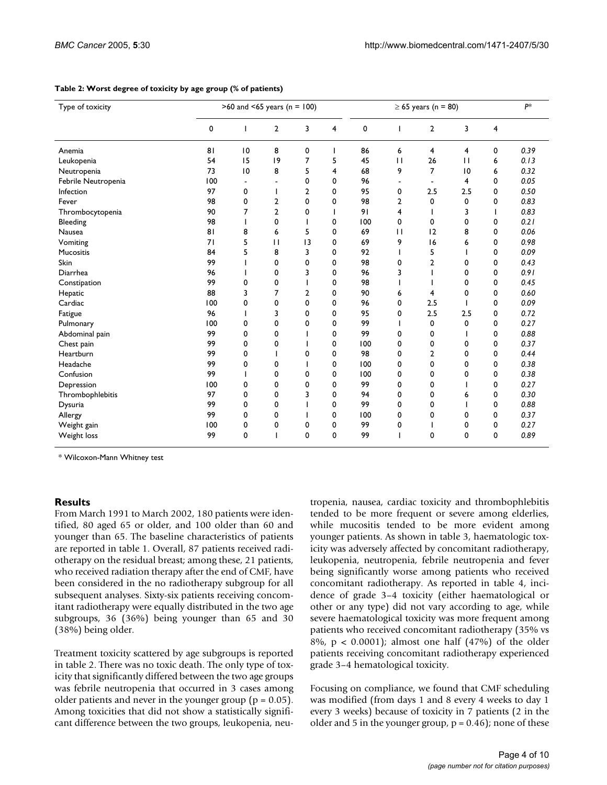| Type of toxicity    |     | $>60$ and <65 years (n = 100) |                |                |             |     |                | $\geq 65$ years (n = 80) |              |   |      |  |
|---------------------|-----|-------------------------------|----------------|----------------|-------------|-----|----------------|--------------------------|--------------|---|------|--|
|                     | 0   |                               | $\overline{2}$ | 3              | 4           | 0   |                | $\overline{2}$           | 3            | 4 |      |  |
| Anemia              | 81  | 0                             | 8              | 0              |             | 86  | 6              | 4                        | 4            | 0 | 0.39 |  |
| Leukopenia          | 54  | 15                            | 9              | 7              | 5           | 45  | $\mathbf{H}$   | 26                       | $\mathbf{H}$ | 6 | 0.13 |  |
| Neutropenia         | 73  | 0                             | 8              | 5              | 4           | 68  | 9              | $\overline{7}$           | 10           | 6 | 0.32 |  |
| Febrile Neutropenia | 100 | $\overline{\phantom{a}}$      |                | 0              | 0           | 96  | ۰              | $\blacksquare$           | 4            | 0 | 0.05 |  |
| Infection           | 97  | 0                             |                | $\overline{2}$ | 0           | 95  | 0              | 2.5                      | 2.5          | 0 | 0.50 |  |
| Fever               | 98  | 0                             | 2              | $\mathbf 0$    | 0           | 98  | $\overline{2}$ | 0                        | 0            | 0 | 0.83 |  |
| Thrombocytopenia    | 90  | 7                             | $\overline{2}$ | 0              |             | 91  | 4              |                          | 3            | ı | 0.83 |  |
| Bleeding            | 98  |                               | 0              |                | 0           | 100 | 0              | 0                        | 0            | 0 | 0.21 |  |
| Nausea              | 81  | 8                             | 6              | 5              | 0           | 69  | $\mathbf{H}$   | 12                       | 8            | 0 | 0.06 |  |
| Vomiting            | 71  | 5                             | $\mathbf{1}$   | 3              | 0           | 69  | 9              | 16                       | 6            | 0 | 0.98 |  |
| Mucositis           | 84  | 5                             | 8              | 3              | 0           | 92  |                | 5                        |              | 0 | 0.09 |  |
| Skin                | 99  |                               | 0              | 0              | 0           | 98  | 0              | $\overline{2}$           | 0            | 0 | 0.43 |  |
| Diarrhea            | 96  |                               | 0              | 3              | 0           | 96  | 3              |                          | 0            | 0 | 0.91 |  |
| Constipation        | 99  | 0                             | 0              |                | 0           | 98  |                |                          | 0            | 0 | 0.45 |  |
| Hepatic             | 88  | 3                             | 7              | $\overline{2}$ | 0           | 90  | 6              | 4                        | 0            | 0 | 0.60 |  |
| Cardiac             | 100 | 0                             | 0              | $\mathbf 0$    | 0           | 96  | 0              | 2.5                      |              | 0 | 0.09 |  |
| Fatigue             | 96  |                               | 3              | 0              | 0           | 95  | 0              | 2.5                      | 2.5          | 0 | 0.72 |  |
| Pulmonary           | 100 | 0                             | 0              | $\mathbf 0$    | 0           | 99  |                | 0                        | 0            | 0 | 0.27 |  |
| Abdominal pain      | 99  | 0                             | 0              |                | 0           | 99  | 0              | 0                        |              | 0 | 0.88 |  |
| Chest pain          | 99  | 0                             | 0              |                | 0           | 100 | 0              | 0                        | 0            | 0 | 0.37 |  |
| Heartburn           | 99  | 0                             |                | 0              | 0           | 98  | 0              | 2                        | 0            | 0 | 0.44 |  |
| Headache            | 99  | 0                             | 0              |                | 0           | 100 | 0              | $\mathbf 0$              | 0            | 0 | 0.38 |  |
| Confusion           | 99  |                               | 0              | 0              | 0           | 100 | 0              | 0                        | 0            | 0 | 0.38 |  |
| Depression          | 100 | 0                             | 0              | 0              | 0           | 99  | 0              | 0                        |              | 0 | 0.27 |  |
| Thrombophlebitis    | 97  | 0                             | 0              | 3              | 0           | 94  | 0              | 0                        | 6            | 0 | 0.30 |  |
| Dysuria             | 99  | 0                             | 0              |                | 0           | 99  | 0              | 0                        |              | 0 | 0.88 |  |
| Allergy             | 99  | 0                             | $\Omega$       |                | 0           | 100 | 0              | 0                        | 0            | 0 | 0.37 |  |
| Weight gain         | 100 | 0                             | 0              | 0              | 0           | 99  | 0              |                          | 0            | 0 | 0.27 |  |
| Weight loss         | 99  | 0                             |                | 0              | $\mathbf 0$ | 99  |                | 0                        | 0            | 0 | 0.89 |  |

#### <span id="page-3-0"></span>**Table 2: Worst degree of toxicity by age group (% of patients)**

\* Wilcoxon-Mann Whitney test

## **Results**

From March 1991 to March 2002, 180 patients were identified, 80 aged 65 or older, and 100 older than 60 and younger than 65. The baseline characteristics of patients are reported in table 1. Overall, 87 patients received radiotherapy on the residual breast; among these, 21 patients, who received radiation therapy after the end of CMF, have been considered in the no radiotherapy subgroup for all subsequent analyses. Sixty-six patients receiving concomitant radiotherapy were equally distributed in the two age subgroups, 36 (36%) being younger than 65 and 30 (38%) being older.

Treatment toxicity scattered by age subgroups is reported in table [2.](#page-3-0) There was no toxic death. The only type of toxicity that significantly differed between the two age groups was febrile neutropenia that occurred in 3 cases among older patients and never in the younger group ( $p = 0.05$ ). Among toxicities that did not show a statistically significant difference between the two groups, leukopenia, neutropenia, nausea, cardiac toxicity and thrombophlebitis tended to be more frequent or severe among elderlies, while mucositis tended to be more evident among younger patients. As shown in table [3,](#page-4-0) haematologic toxicity was adversely affected by concomitant radiotherapy, leukopenia, neutropenia, febrile neutropenia and fever being significantly worse among patients who received concomitant radiotherapy. As reported in table [4,](#page-4-1) incidence of grade 3–4 toxicity (either haematological or other or any type) did not vary according to age, while severe haematological toxicity was more frequent among patients who received concomitant radiotherapy (35% vs 8%, p < 0.0001); almost one half (47%) of the older patients receiving concomitant radiotherapy experienced grade 3–4 hematological toxicity.

Focusing on compliance, we found that CMF scheduling was modified (from days 1 and 8 every 4 weeks to day 1 every 3 weeks) because of toxicity in 7 patients (2 in the older and 5 in the younger group,  $p = 0.46$ ; none of these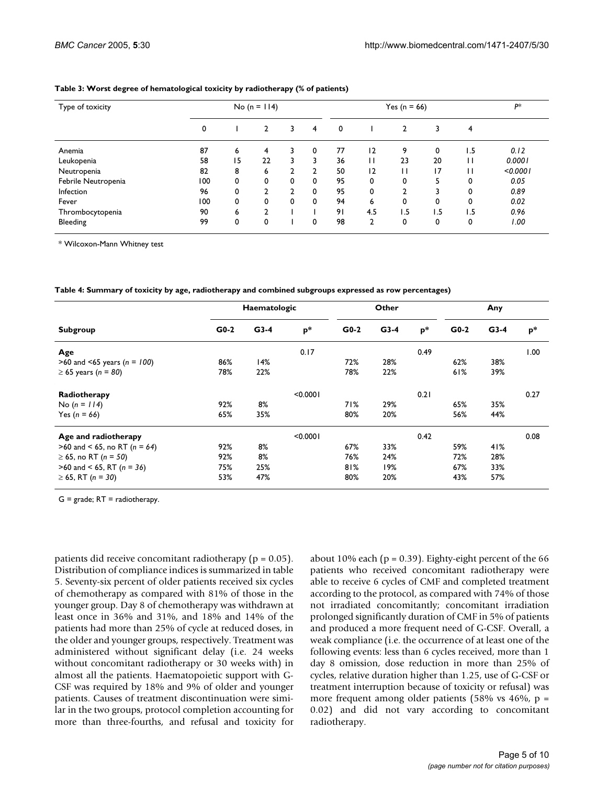| Type of toxicity    |     |    | No (n = $114$ ) |                |   |    |                | Yes ( $n = 66$ ) |                 |     | р*       |
|---------------------|-----|----|-----------------|----------------|---|----|----------------|------------------|-----------------|-----|----------|
|                     | 0   |    | 2               | 3              | 4 | 0  |                | 2                | 3               | 4   |          |
| Anemia              | 87  | 6  | 4               | 3              | 0 | 77 | 12             | 9                | 0               | ۱.5 | 0.12     |
| Leukopenia          | 58  | 15 | 22              | 3              | 3 | 36 | П              | 23               | 20              | Н   | 0.0001   |
| Neutropenia         | 82  | 8  | 6               | $\overline{2}$ | C | 50 | 12             |                  | $\overline{17}$ | П   | < 0.0001 |
| Febrile Neutropenia | 100 | 0  | 0               | 0              | 0 | 95 | 0              | 0                | 5               | 0   | 0.05     |
| Infection           | 96  | 0  | C.              | ኀ              | 0 | 95 | 0              | ົ                | 3               | 0   | 0.89     |
| Fever               | 100 | 0  | 0               | 0              | 0 | 94 | 6              | 0                | 0               | 0   | 0.02     |
| Thrombocytopenia    | 90  | 6  | ົ               |                |   | 91 | 4.5            | 1.5              | 1.5             | 1.5 | 0.96     |
| Bleeding            | 99  | 0  | 0               |                | 0 | 98 | $\overline{2}$ | 0                | 0               | 0   | 1.00     |

#### <span id="page-4-0"></span>**Table 3: Worst degree of hematological toxicity by radiotherapy (% of patients)**

\* Wilcoxon-Mann Whitney test

<span id="page-4-1"></span>**Table 4: Summary of toxicity by age, radiotherapy and combined subgroups expressed as row percentages)**

|                                  |        | Haematologic |          |        | Other  | Any            |        |        |       |
|----------------------------------|--------|--------------|----------|--------|--------|----------------|--------|--------|-------|
| Subgroup                         | $G0-2$ | $G3-4$       | $p*$     | $G0-2$ | $G3-4$ | $\mathbf{p}^*$ | $G0-2$ | $G3-4$ | $p^*$ |
| Age                              |        |              | 0.17     |        |        | 0.49           |        |        | 00.1  |
| >60 and <65 years ( $n = 100$ )  | 86%    | 14%          |          | 72%    | 28%    |                | 62%    | 38%    |       |
| $\geq$ 65 years (n = 80)         | 78%    | 22%          |          | 78%    | 22%    |                | 61%    | 39%    |       |
| Radiotherapy                     |        |              | < 0.0001 |        |        | 0.21           |        |        | 0.27  |
| No $(n = 114)$                   | 92%    | 8%           |          | 71%    | 29%    |                | 65%    | 35%    |       |
| Yes ( $n = 66$ )                 | 65%    | 35%          |          | 80%    | 20%    |                | 56%    | 44%    |       |
| Age and radiotherapy             |        |              | < 0.0001 |        |        | 0.42           |        |        | 0.08  |
| >60 and < 65, no RT ( $n = 64$ ) | 92%    | 8%           |          | 67%    | 33%    |                | 59%    | 41%    |       |
| ≥ 65, no RT ( <i>n</i> = 50)     | 92%    | 8%           |          | 76%    | 24%    |                | 72%    | 28%    |       |
| $>60$ and < 65, RT (n = 36)      | 75%    | 25%          |          | 81%    | 19%    |                | 67%    | 33%    |       |
| $\geq 65$ , RT (n = 30)          | 53%    | 47%          |          | 80%    | 20%    |                | 43%    | 57%    |       |

 $G =$  grade;  $RT =$  radiotherapy.

patients did receive concomitant radiotherapy (p = 0.05). Distribution of compliance indices is summarized in table [5.](#page-5-0) Seventy-six percent of older patients received six cycles of chemotherapy as compared with 81% of those in the younger group. Day 8 of chemotherapy was withdrawn at least once in 36% and 31%, and 18% and 14% of the patients had more than 25% of cycle at reduced doses, in the older and younger groups, respectively. Treatment was administered without significant delay (i.e. 24 weeks without concomitant radiotherapy or 30 weeks with) in almost all the patients. Haematopoietic support with G-CSF was required by 18% and 9% of older and younger patients. Causes of treatment discontinuation were similar in the two groups, protocol completion accounting for more than three-fourths, and refusal and toxicity for about 10% each ( $p = 0.39$ ). Eighty-eight percent of the 66 patients who received concomitant radiotherapy were able to receive 6 cycles of CMF and completed treatment according to the protocol, as compared with 74% of those not irradiated concomitantly; concomitant irradiation prolonged significantly duration of CMF in 5% of patients and produced a more frequent need of G-CSF. Overall, a weak compliance (i.e. the occurrence of at least one of the following events: less than 6 cycles received, more than 1 day 8 omission, dose reduction in more than 25% of cycles, relative duration higher than 1.25, use of G-CSF or treatment interruption because of toxicity or refusal) was more frequent among older patients (58% vs 46%,  $p =$ 0.02) and did not vary according to concomitant radiotherapy.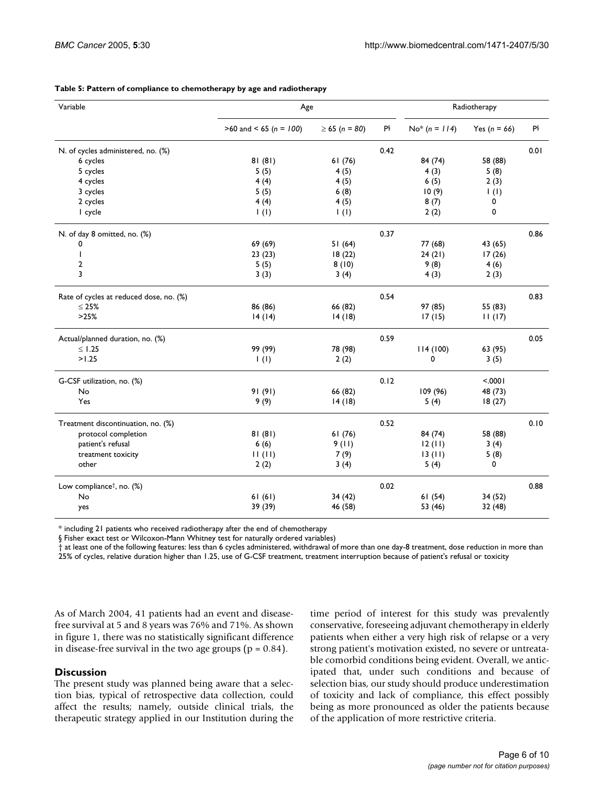| $>60$ and < 65 (n = 100)<br>$\geq 65$ (n = 80)<br>PŞ<br>$No* (n = 114)$<br>PŞ<br>Yes $(n = 66)$<br>0.42<br>N. of cycles administered, no. (%)<br>6 cycles<br>81(81)<br>84 (74)<br>58 (88)<br>61(76)<br>5 cycles<br>5(5)<br>4(5)<br>4(3)<br>5(8)<br>4 cycles<br>6(5)<br>4(4)<br>4(5)<br>2(3)<br>3 cycles<br>10(9)<br>5(5)<br>6(8)<br>$\vert$ (l)<br>2 cycles<br>4(4)<br>4(5)<br>8(7)<br>0<br>I cycle<br>0<br>$\mathsf{I}(\mathsf{I})$<br>$\mathsf{I}(\mathsf{I})$<br>2(2)<br>N. of day 8 omitted, no. (%)<br>0.37<br>69 (69)<br>51(64)<br>77 (68)<br>43 (65)<br>0<br>I<br>23(23)<br>24(21)<br>17(26)<br>18(22)<br>$\overline{\mathbf{c}}$<br>5(5)<br>8(10)<br>9(8)<br>4(6)<br>3<br>3(3)<br>3(4)<br>4(3)<br>2(3)<br>0.54<br>Rate of cycles at reduced dose, no. (%)<br>97 (85)<br>55 (83)<br>$\leq 25\%$<br>86 (86)<br>66 (82)<br>>25%<br>14(14)<br>14(18)<br>17(15)<br>11(17)<br>0.59<br>Actual/planned duration, no. (%)<br>99 (99)<br>78 (98)<br>114(100)<br>$\leq$ 1.25<br>63 (95)<br>>1.25<br>$\mathbf 0$<br>$\mathbf{I}(\mathbf{I})$<br>2(2)<br>3(5)<br>0.12<br>< .0001<br>G-CSF utilization, no. (%)<br>No<br>91(91)<br>66 (82)<br>109 (96)<br>48 (73)<br>9(9)<br>Yes<br>14(18)<br>5(4)<br>18(27)<br>0.52<br>Treatment discontinuation, no. (%)<br>protocol completion<br>81(81)<br>61(76)<br>84 (74)<br>58 (88)<br>patient's refusal<br>6(6)<br>9(11)<br>12(11)<br>3(4)<br>11(11)<br>7(9)<br>13(11)<br>treatment toxicity<br>5(8)<br>other<br>2(2)<br>3(4)<br>5(4)<br>0<br>0.02<br>Low compliance <sup>†</sup> , no. (%)<br>No<br>61(61)<br>34 (42)<br>61(54)<br>34 (52)<br>yes | Variable | Age     |         | Radiotherapy |        |      |  |
|---------------------------------------------------------------------------------------------------------------------------------------------------------------------------------------------------------------------------------------------------------------------------------------------------------------------------------------------------------------------------------------------------------------------------------------------------------------------------------------------------------------------------------------------------------------------------------------------------------------------------------------------------------------------------------------------------------------------------------------------------------------------------------------------------------------------------------------------------------------------------------------------------------------------------------------------------------------------------------------------------------------------------------------------------------------------------------------------------------------------------------------------------------------------------------------------------------------------------------------------------------------------------------------------------------------------------------------------------------------------------------------------------------------------------------------------------------------------------------------------------------------------------------------------------------------------------------------|----------|---------|---------|--------------|--------|------|--|
|                                                                                                                                                                                                                                                                                                                                                                                                                                                                                                                                                                                                                                                                                                                                                                                                                                                                                                                                                                                                                                                                                                                                                                                                                                                                                                                                                                                                                                                                                                                                                                                       |          |         |         |              |        |      |  |
|                                                                                                                                                                                                                                                                                                                                                                                                                                                                                                                                                                                                                                                                                                                                                                                                                                                                                                                                                                                                                                                                                                                                                                                                                                                                                                                                                                                                                                                                                                                                                                                       |          |         |         |              |        | 0.01 |  |
|                                                                                                                                                                                                                                                                                                                                                                                                                                                                                                                                                                                                                                                                                                                                                                                                                                                                                                                                                                                                                                                                                                                                                                                                                                                                                                                                                                                                                                                                                                                                                                                       |          |         |         |              |        |      |  |
|                                                                                                                                                                                                                                                                                                                                                                                                                                                                                                                                                                                                                                                                                                                                                                                                                                                                                                                                                                                                                                                                                                                                                                                                                                                                                                                                                                                                                                                                                                                                                                                       |          |         |         |              |        |      |  |
|                                                                                                                                                                                                                                                                                                                                                                                                                                                                                                                                                                                                                                                                                                                                                                                                                                                                                                                                                                                                                                                                                                                                                                                                                                                                                                                                                                                                                                                                                                                                                                                       |          |         |         |              |        |      |  |
|                                                                                                                                                                                                                                                                                                                                                                                                                                                                                                                                                                                                                                                                                                                                                                                                                                                                                                                                                                                                                                                                                                                                                                                                                                                                                                                                                                                                                                                                                                                                                                                       |          |         |         |              |        |      |  |
|                                                                                                                                                                                                                                                                                                                                                                                                                                                                                                                                                                                                                                                                                                                                                                                                                                                                                                                                                                                                                                                                                                                                                                                                                                                                                                                                                                                                                                                                                                                                                                                       |          |         |         |              |        |      |  |
|                                                                                                                                                                                                                                                                                                                                                                                                                                                                                                                                                                                                                                                                                                                                                                                                                                                                                                                                                                                                                                                                                                                                                                                                                                                                                                                                                                                                                                                                                                                                                                                       |          |         |         |              |        |      |  |
|                                                                                                                                                                                                                                                                                                                                                                                                                                                                                                                                                                                                                                                                                                                                                                                                                                                                                                                                                                                                                                                                                                                                                                                                                                                                                                                                                                                                                                                                                                                                                                                       |          |         |         |              |        | 0.86 |  |
|                                                                                                                                                                                                                                                                                                                                                                                                                                                                                                                                                                                                                                                                                                                                                                                                                                                                                                                                                                                                                                                                                                                                                                                                                                                                                                                                                                                                                                                                                                                                                                                       |          |         |         |              |        |      |  |
|                                                                                                                                                                                                                                                                                                                                                                                                                                                                                                                                                                                                                                                                                                                                                                                                                                                                                                                                                                                                                                                                                                                                                                                                                                                                                                                                                                                                                                                                                                                                                                                       |          |         |         |              |        |      |  |
|                                                                                                                                                                                                                                                                                                                                                                                                                                                                                                                                                                                                                                                                                                                                                                                                                                                                                                                                                                                                                                                                                                                                                                                                                                                                                                                                                                                                                                                                                                                                                                                       |          |         |         |              |        |      |  |
|                                                                                                                                                                                                                                                                                                                                                                                                                                                                                                                                                                                                                                                                                                                                                                                                                                                                                                                                                                                                                                                                                                                                                                                                                                                                                                                                                                                                                                                                                                                                                                                       |          |         |         |              |        |      |  |
|                                                                                                                                                                                                                                                                                                                                                                                                                                                                                                                                                                                                                                                                                                                                                                                                                                                                                                                                                                                                                                                                                                                                                                                                                                                                                                                                                                                                                                                                                                                                                                                       |          |         |         |              |        | 0.83 |  |
|                                                                                                                                                                                                                                                                                                                                                                                                                                                                                                                                                                                                                                                                                                                                                                                                                                                                                                                                                                                                                                                                                                                                                                                                                                                                                                                                                                                                                                                                                                                                                                                       |          |         |         |              |        |      |  |
|                                                                                                                                                                                                                                                                                                                                                                                                                                                                                                                                                                                                                                                                                                                                                                                                                                                                                                                                                                                                                                                                                                                                                                                                                                                                                                                                                                                                                                                                                                                                                                                       |          |         |         |              |        |      |  |
|                                                                                                                                                                                                                                                                                                                                                                                                                                                                                                                                                                                                                                                                                                                                                                                                                                                                                                                                                                                                                                                                                                                                                                                                                                                                                                                                                                                                                                                                                                                                                                                       |          |         |         |              |        | 0.05 |  |
|                                                                                                                                                                                                                                                                                                                                                                                                                                                                                                                                                                                                                                                                                                                                                                                                                                                                                                                                                                                                                                                                                                                                                                                                                                                                                                                                                                                                                                                                                                                                                                                       |          |         |         |              |        |      |  |
|                                                                                                                                                                                                                                                                                                                                                                                                                                                                                                                                                                                                                                                                                                                                                                                                                                                                                                                                                                                                                                                                                                                                                                                                                                                                                                                                                                                                                                                                                                                                                                                       |          |         |         |              |        |      |  |
|                                                                                                                                                                                                                                                                                                                                                                                                                                                                                                                                                                                                                                                                                                                                                                                                                                                                                                                                                                                                                                                                                                                                                                                                                                                                                                                                                                                                                                                                                                                                                                                       |          |         |         |              |        |      |  |
|                                                                                                                                                                                                                                                                                                                                                                                                                                                                                                                                                                                                                                                                                                                                                                                                                                                                                                                                                                                                                                                                                                                                                                                                                                                                                                                                                                                                                                                                                                                                                                                       |          |         |         |              |        |      |  |
|                                                                                                                                                                                                                                                                                                                                                                                                                                                                                                                                                                                                                                                                                                                                                                                                                                                                                                                                                                                                                                                                                                                                                                                                                                                                                                                                                                                                                                                                                                                                                                                       |          |         |         |              |        |      |  |
|                                                                                                                                                                                                                                                                                                                                                                                                                                                                                                                                                                                                                                                                                                                                                                                                                                                                                                                                                                                                                                                                                                                                                                                                                                                                                                                                                                                                                                                                                                                                                                                       |          |         |         |              |        | 0.10 |  |
|                                                                                                                                                                                                                                                                                                                                                                                                                                                                                                                                                                                                                                                                                                                                                                                                                                                                                                                                                                                                                                                                                                                                                                                                                                                                                                                                                                                                                                                                                                                                                                                       |          |         |         |              |        |      |  |
|                                                                                                                                                                                                                                                                                                                                                                                                                                                                                                                                                                                                                                                                                                                                                                                                                                                                                                                                                                                                                                                                                                                                                                                                                                                                                                                                                                                                                                                                                                                                                                                       |          |         |         |              |        |      |  |
|                                                                                                                                                                                                                                                                                                                                                                                                                                                                                                                                                                                                                                                                                                                                                                                                                                                                                                                                                                                                                                                                                                                                                                                                                                                                                                                                                                                                                                                                                                                                                                                       |          |         |         |              |        |      |  |
|                                                                                                                                                                                                                                                                                                                                                                                                                                                                                                                                                                                                                                                                                                                                                                                                                                                                                                                                                                                                                                                                                                                                                                                                                                                                                                                                                                                                                                                                                                                                                                                       |          |         |         |              |        |      |  |
|                                                                                                                                                                                                                                                                                                                                                                                                                                                                                                                                                                                                                                                                                                                                                                                                                                                                                                                                                                                                                                                                                                                                                                                                                                                                                                                                                                                                                                                                                                                                                                                       |          |         |         |              |        | 0.88 |  |
|                                                                                                                                                                                                                                                                                                                                                                                                                                                                                                                                                                                                                                                                                                                                                                                                                                                                                                                                                                                                                                                                                                                                                                                                                                                                                                                                                                                                                                                                                                                                                                                       |          |         |         |              |        |      |  |
|                                                                                                                                                                                                                                                                                                                                                                                                                                                                                                                                                                                                                                                                                                                                                                                                                                                                                                                                                                                                                                                                                                                                                                                                                                                                                                                                                                                                                                                                                                                                                                                       |          | 39 (39) | 46 (58) | 53 (46)      | 32(48) |      |  |

#### <span id="page-5-0"></span>**Table 5: Pattern of compliance to chemotherapy by age and radiotherapy**

\* including 21 patients who received radiotherapy after the end of chemotherapy

§ Fisher exact test or Wilcoxon-Mann Whitney test for naturally ordered variables)

† at least one of the following features: less than 6 cycles administered, withdrawal of more than one day-8 treatment, dose reduction in more than 25% of cycles, relative duration higher than 1.25, use of G-CSF treatment, treatment interruption because of patient's refusal or toxicity

As of March 2004, 41 patients had an event and diseasefree survival at 5 and 8 years was 76% and 71%. As shown in figure [1](#page-6-0), there was no statistically significant difference in disease-free survival in the two age groups ( $p = 0.84$ ).

### **Discussion**

The present study was planned being aware that a selection bias, typical of retrospective data collection, could affect the results; namely, outside clinical trials, the therapeutic strategy applied in our Institution during the time period of interest for this study was prevalently conservative, foreseeing adjuvant chemotherapy in elderly patients when either a very high risk of relapse or a very strong patient's motivation existed, no severe or untreatable comorbid conditions being evident. Overall, we anticipated that, under such conditions and because of selection bias, our study should produce underestimation of toxicity and lack of compliance, this effect possibly being as more pronounced as older the patients because of the application of more restrictive criteria.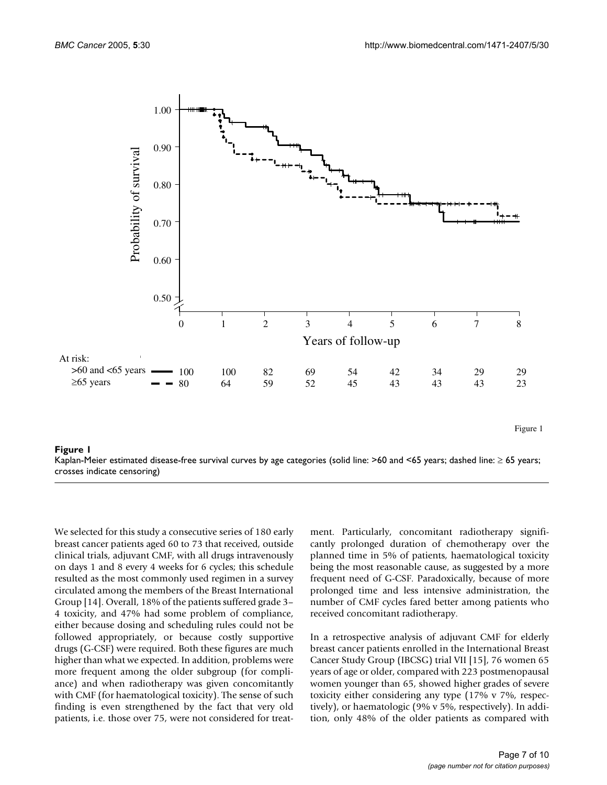<span id="page-6-0"></span>

## Kaplan-Meier estimated disease-free surv crosses indicate censoring) **Figure 1** ival curves by age categories (solid line: >60 and <65 years; dashed line: ≥ 65 years;

Kaplan-Meier estimated disease-free survival curves by age categories (solid line: >60 and <65 years; dashed line: ≥ 65 years; crosses indicate censoring)

We selected for this study a consecutive series of 180 early breast cancer patients aged 60 to 73 that received, outside clinical trials, adjuvant CMF, with all drugs intravenously on days 1 and 8 every 4 weeks for 6 cycles; this schedule resulted as the most commonly used regimen in a survey circulated among the members of the Breast International Group [14]. Overall, 18% of the patients suffered grade 3– 4 toxicity, and 47% had some problem of compliance, either because dosing and scheduling rules could not be followed appropriately, or because costly supportive drugs (G-CSF) were required. Both these figures are much higher than what we expected. In addition, problems were more frequent among the older subgroup (for compliance) and when radiotherapy was given concomitantly with CMF (for haematological toxicity). The sense of such finding is even strengthened by the fact that very old patients, i.e. those over 75, were not considered for treatment. Particularly, concomitant radiotherapy significantly prolonged duration of chemotherapy over the planned time in 5% of patients, haematological toxicity being the most reasonable cause, as suggested by a more frequent need of G-CSF. Paradoxically, because of more prolonged time and less intensive administration, the number of CMF cycles fared better among patients who received concomitant radiotherapy.

In a retrospective analysis of adjuvant CMF for elderly breast cancer patients enrolled in the International Breast Cancer Study Group (IBCSG) trial VII [15], 76 women 65 years of age or older, compared with 223 postmenopausal women younger than 65, showed higher grades of severe toxicity either considering any type (17% v 7%, respectively), or haematologic (9% v 5%, respectively). In addition, only 48% of the older patients as compared with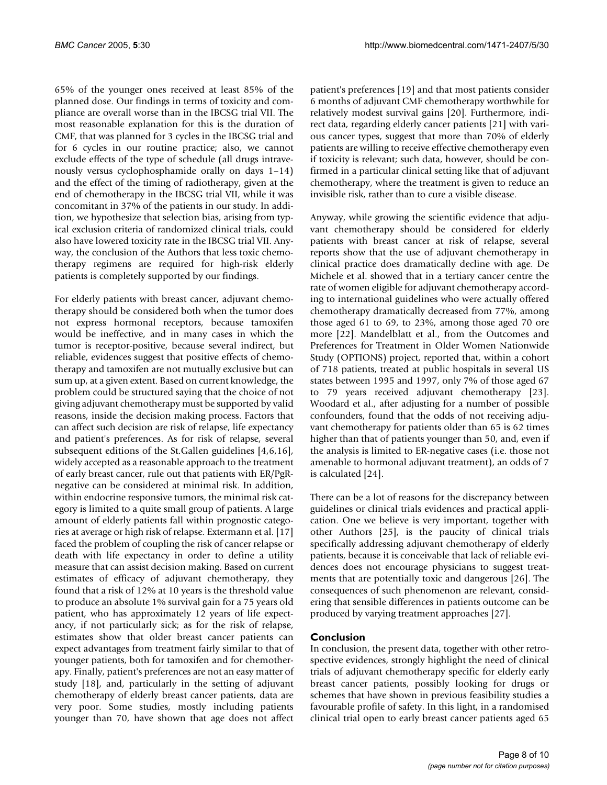65% of the younger ones received at least 85% of the planned dose. Our findings in terms of toxicity and compliance are overall worse than in the IBCSG trial VII. The most reasonable explanation for this is the duration of CMF, that was planned for 3 cycles in the IBCSG trial and for 6 cycles in our routine practice; also, we cannot exclude effects of the type of schedule (all drugs intravenously versus cyclophosphamide orally on days 1–14) and the effect of the timing of radiotherapy, given at the end of chemotherapy in the IBCSG trial VII, while it was concomitant in 37% of the patients in our study. In addition, we hypothesize that selection bias, arising from typical exclusion criteria of randomized clinical trials, could also have lowered toxicity rate in the IBCSG trial VII. Anyway, the conclusion of the Authors that less toxic chemotherapy regimens are required for high-risk elderly patients is completely supported by our findings.

For elderly patients with breast cancer, adjuvant chemotherapy should be considered both when the tumor does not express hormonal receptors, because tamoxifen would be ineffective, and in many cases in which the tumor is receptor-positive, because several indirect, but reliable, evidences suggest that positive effects of chemotherapy and tamoxifen are not mutually exclusive but can sum up, at a given extent. Based on current knowledge, the problem could be structured saying that the choice of not giving adjuvant chemotherapy must be supported by valid reasons, inside the decision making process. Factors that can affect such decision are risk of relapse, life expectancy and patient's preferences. As for risk of relapse, several subsequent editions of the St.Gallen guidelines [4,6,16], widely accepted as a reasonable approach to the treatment of early breast cancer, rule out that patients with ER/PgRnegative can be considered at minimal risk. In addition, within endocrine responsive tumors, the minimal risk category is limited to a quite small group of patients. A large amount of elderly patients fall within prognostic categories at average or high risk of relapse. Extermann et al. [17] faced the problem of coupling the risk of cancer relapse or death with life expectancy in order to define a utility measure that can assist decision making. Based on current estimates of efficacy of adjuvant chemotherapy, they found that a risk of 12% at 10 years is the threshold value to produce an absolute 1% survival gain for a 75 years old patient, who has approximately 12 years of life expectancy, if not particularly sick; as for the risk of relapse, estimates show that older breast cancer patients can expect advantages from treatment fairly similar to that of younger patients, both for tamoxifen and for chemotherapy. Finally, patient's preferences are not an easy matter of study [18], and, particularly in the setting of adjuvant chemotherapy of elderly breast cancer patients, data are very poor. Some studies, mostly including patients younger than 70, have shown that age does not affect patient's preferences [19] and that most patients consider 6 months of adjuvant CMF chemotherapy worthwhile for relatively modest survival gains [20]. Furthermore, indirect data, regarding elderly cancer patients [21] with various cancer types, suggest that more than 70% of elderly patients are willing to receive effective chemotherapy even if toxicity is relevant; such data, however, should be confirmed in a particular clinical setting like that of adjuvant chemotherapy, where the treatment is given to reduce an invisible risk, rather than to cure a visible disease.

Anyway, while growing the scientific evidence that adjuvant chemotherapy should be considered for elderly patients with breast cancer at risk of relapse, several reports show that the use of adjuvant chemotherapy in clinical practice does dramatically decline with age. De Michele et al. showed that in a tertiary cancer centre the rate of women eligible for adjuvant chemotherapy according to international guidelines who were actually offered chemotherapy dramatically decreased from 77%, among those aged 61 to 69, to 23%, among those aged 70 ore more [22]. Mandelblatt et al., from the Outcomes and Preferences for Treatment in Older Women Nationwide Study (OPTIONS) project, reported that, within a cohort of 718 patients, treated at public hospitals in several US states between 1995 and 1997, only 7% of those aged 67 to 79 years received adjuvant chemotherapy [23]. Woodard et al., after adjusting for a number of possible confounders, found that the odds of not receiving adjuvant chemotherapy for patients older than 65 is 62 times higher than that of patients younger than 50, and, even if the analysis is limited to ER-negative cases (i.e. those not amenable to hormonal adjuvant treatment), an odds of 7 is calculated [24].

There can be a lot of reasons for the discrepancy between guidelines or clinical trials evidences and practical application. One we believe is very important, together with other Authors [25], is the paucity of clinical trials specifically addressing adjuvant chemotherapy of elderly patients, because it is conceivable that lack of reliable evidences does not encourage physicians to suggest treatments that are potentially toxic and dangerous [26]. The consequences of such phenomenon are relevant, considering that sensible differences in patients outcome can be produced by varying treatment approaches [27].

## **Conclusion**

In conclusion, the present data, together with other retrospective evidences, strongly highlight the need of clinical trials of adjuvant chemotherapy specific for elderly early breast cancer patients, possibly looking for drugs or schemes that have shown in previous feasibility studies a favourable profile of safety. In this light, in a randomised clinical trial open to early breast cancer patients aged 65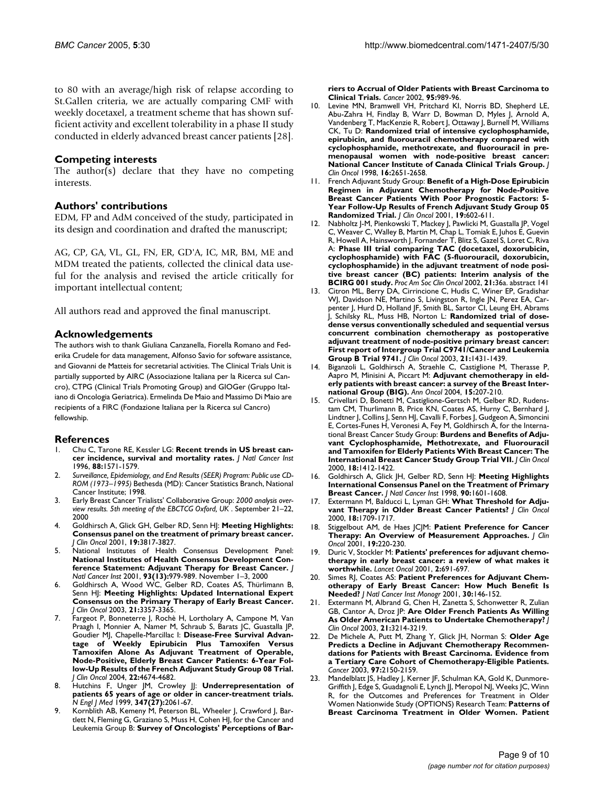to 80 with an average/high risk of relapse according to St.Gallen criteria, we are actually comparing CMF with weekly docetaxel, a treatment scheme that has shown sufficient activity and excellent tolerability in a phase II study conducted in elderly advanced breast cancer patients [28].

#### **Competing interests**

The author(s) declare that they have no competing interests.

#### **Authors' contributions**

EDM, FP and AdM conceived of the study, participated in its design and coordination and drafted the manuscript;

AG, CP, GA, VL, GL, FN, ER, GD'A, IC, MR, BM, ME and MDM treated the patients, collected the clinical data useful for the analysis and revised the article critically for important intellectual content;

All authors read and approved the final manuscript.

#### **Acknowledgements**

The authors wish to thank Giuliana Canzanella, Fiorella Romano and Federika Crudele for data management, Alfonso Savio for software assistance, and Giovanni de Matteis for secretarial activities. The Clinical Trials Unit is partially supported by AIRC (Associazione Italiana per la Ricerca sul Cancro), CTPG (Clinical Trials Promoting Group) and GIOGer (Gruppo Italiano di Oncologia Geriatrica). Ermelinda De Maio and Massimo Di Maio are recipients of a FIRC (Fondazione Italiana per la Ricerca sul Cancro) fellowship.

#### **References**

- 1. Chu C, Tarone RE, Kessler LG: **[Recent trends in US breast can](http://www.ncbi.nlm.nih.gov/entrez/query.fcgi?cmd=Retrieve&db=PubMed&dopt=Abstract&list_uids=8901855)[cer incidence, survival and mortality rates.](http://www.ncbi.nlm.nih.gov/entrez/query.fcgi?cmd=Retrieve&db=PubMed&dopt=Abstract&list_uids=8901855)** *J Natl Cancer Inst* 1996, **88:**1571-1579.
- 2. *Surveillance, Epidemiology, and End Results (SEER) Program: Public use CD-ROM (1973–1995)* Bethesda (MD): Cancer Statistics Branch, National Cancer Institute; 1998.
- 3. Early Breast Cancer Trialists' Collaborative Group: *2000 analysis overview results. 5th meeting of the EBCTCG Oxford, UK* . September 21–22, 2000
- 4. Goldhirsch A, Glick GH, Gelber RD, Senn HJ: **[Meeting Highlights:](http://www.ncbi.nlm.nih.gov/entrez/query.fcgi?cmd=Retrieve&db=PubMed&dopt=Abstract&list_uids=11559719) [Consensus panel on the treatment of primary breast cancer.](http://www.ncbi.nlm.nih.gov/entrez/query.fcgi?cmd=Retrieve&db=PubMed&dopt=Abstract&list_uids=11559719)** *J Clin Oncol* 2001, **19:**3817-3827.
- National Institutes of Health Consensus Development Panel: **[National Institutes of Health Consensus Development Con](http://www.ncbi.nlm.nih.gov/entrez/query.fcgi?cmd=Retrieve&db=PubMed&dopt=Abstract&list_uids=11438563)[ference Statement: Adjuvant Therapy for Breast Cancer.](http://www.ncbi.nlm.nih.gov/entrez/query.fcgi?cmd=Retrieve&db=PubMed&dopt=Abstract&list_uids=11438563)** *J Natl Cancer Inst* 2001, **93(13):**979-989. November 1–3, 2000
- 6. Goldhirsch A, Wood WC, Gelber RD, Coates AS, Thürlimann B, Senn HJ: **[Meeting Highlights: Updated International Expert](http://www.ncbi.nlm.nih.gov/entrez/query.fcgi?cmd=Retrieve&db=PubMed&dopt=Abstract&list_uids=12847142) [Consensus on the Primary Therapy of Early Breast Cancer.](http://www.ncbi.nlm.nih.gov/entrez/query.fcgi?cmd=Retrieve&db=PubMed&dopt=Abstract&list_uids=12847142)** *J Clin Oncol* 2003, **21:**3357-3365.
- 7. Fargeot P, Bonneterre J, Rochè H, Lortholary A, Campone M, Van Praagh I, Monnier A, Namer M, Schraub S, Barats JC, Guastalla JP, Goudier MJ, Chapelle-Marcillac I: **Disease-Free Survival Advantage of Weekly Epirubicin Plus Tamoxifen Versus Tamoxifen Alone As Adjuvant Treatment of Operable, Node-Positive, Elderly Breast Cancer Patients: 6-Year Follow-Up Results of the French Adjuvant Study Group 08 Trial.** *J Clin Oncol* 2004, **22:**4674-4682.
- 8. Hutchins F, Unger JM, Crowley JJ: **Underrepresentation of patients 65 years of age or older in cancer-treatment trials.** *N Engl J Med* 1999, **347(27):**2061-67.
- 9. Kornblith AB, Kemeny M, Peterson BL, Wheeler J, Crawford J, Bartlett N, Fleming G, Graziano S, Muss H, Cohen HJ, for the Cancer and Leukemia Group B: **[Survey of Oncologists' Perceptions of Bar-](http://www.ncbi.nlm.nih.gov/entrez/query.fcgi?cmd=Retrieve&db=PubMed&dopt=Abstract&list_uids=12209681)**

**[riers to Accrual of Older Patients with Breast Carcinoma to](http://www.ncbi.nlm.nih.gov/entrez/query.fcgi?cmd=Retrieve&db=PubMed&dopt=Abstract&list_uids=12209681) [Clinical Trials.](http://www.ncbi.nlm.nih.gov/entrez/query.fcgi?cmd=Retrieve&db=PubMed&dopt=Abstract&list_uids=12209681)** *Cancer* 2002, **95:**989-96.

- 10. Levine MN, Bramwell VH, Pritchard KI, Norris BD, Shepherd LE, Abu-Zahra H, Findlay B, Warr D, Bowman D, Myles J, Arnold A, Vandenberg T, MacKenzie R, Robert J, Ottaway J, Burnell M, Williams CK, Tu D: **[Randomized trial of intensive cyclophosphamide,](http://www.ncbi.nlm.nih.gov/entrez/query.fcgi?cmd=Retrieve&db=PubMed&dopt=Abstract&list_uids=9704715) [epirubicin, and fluorouracil chemotherapy compared with](http://www.ncbi.nlm.nih.gov/entrez/query.fcgi?cmd=Retrieve&db=PubMed&dopt=Abstract&list_uids=9704715) cyclophosphamide, methotrexate, and fluorouracil in premenopausal women with node-positive breast cancer: [National Cancer Institute of Canada Clinical Trials Group.](http://www.ncbi.nlm.nih.gov/entrez/query.fcgi?cmd=Retrieve&db=PubMed&dopt=Abstract&list_uids=9704715)** *J Clin Oncol* 1998, **16:**2651-2658.
- 11. French Adjuvant Study Group: **[Benefit of a High-Dose Epirubicin](http://www.ncbi.nlm.nih.gov/entrez/query.fcgi?cmd=Retrieve&db=PubMed&dopt=Abstract&list_uids=11157009) [Regimen in Adjuvant Chemotherapy for Node-Positive](http://www.ncbi.nlm.nih.gov/entrez/query.fcgi?cmd=Retrieve&db=PubMed&dopt=Abstract&list_uids=11157009) Breast Cancer Patients With Poor Prognostic Factors: 5- Year Follow-Up Results of French Adjuvant Study Group 05 [Randomized Trial.](http://www.ncbi.nlm.nih.gov/entrez/query.fcgi?cmd=Retrieve&db=PubMed&dopt=Abstract&list_uids=11157009)** *J Clin Oncol* 2001, **19:**602-611.
- 12. Nabholtz J-M, Pienkowski T, Mackey J, Pawlicki M, Guastalla JP, Vogel C, Weaver C, Walley B, Martin M, Chap L, Tomiak E, Juhos E, Guevin R, Howell A, Hainsworth J, Fornander T, Blitz S, Gazel S, Loret C, Riva A: **Phase III trial comparing TAC (docetaxel, doxorubicin, cyclophosphamide) with FAC (5-fluorouracil, doxorubicin, cyclophosphamide) in the adjuvant treatment of node positive breast cancer (BC) patients: Interim analysis of the BCIRG 001 study.** *Proc Am Soc Clin Oncol* 2002, **21:**36a. abstract 141
- 13. Citron ML, Berry DA, Cirrincione C, Hudis C, Winer EP, Gradishar WJ, Davidson NE, Martino S, Livingston R, Ingle JN, Perez EA, Carpenter J, Hurd D, Holland JF, Smith BL, Sartor CI, Leung EH, Abrams J, Schilsky RL, Muss HB, Norton L: **[Randomized trial of dose](http://www.ncbi.nlm.nih.gov/entrez/query.fcgi?cmd=Retrieve&db=PubMed&dopt=Abstract&list_uids=12668651)[dense versus conventionally scheduled and sequential versus](http://www.ncbi.nlm.nih.gov/entrez/query.fcgi?cmd=Retrieve&db=PubMed&dopt=Abstract&list_uids=12668651) concurrent combination chemotherapy as postoperative adjuvant treatment of node-positive primary breast cancer: First report of Intergroup Trial C9741/Cancer and Leukemia [Group B Trial 9741.](http://www.ncbi.nlm.nih.gov/entrez/query.fcgi?cmd=Retrieve&db=PubMed&dopt=Abstract&list_uids=12668651)** *J Clin Oncol* 2003, **21:**1431-1439.
- 14. Biganzoli L, Goldhirsch A, Straehle C, Castiglione M, Therasse P, Aapro M, Minisini A, Piccart M: **[Adjuvant chemotherapy in eld](http://www.ncbi.nlm.nih.gov/entrez/query.fcgi?cmd=Retrieve&db=PubMed&dopt=Abstract&list_uids=14760110)[erly patients with breast cancer: a survey of the Breast Inter](http://www.ncbi.nlm.nih.gov/entrez/query.fcgi?cmd=Retrieve&db=PubMed&dopt=Abstract&list_uids=14760110)[national Group \(BIG\).](http://www.ncbi.nlm.nih.gov/entrez/query.fcgi?cmd=Retrieve&db=PubMed&dopt=Abstract&list_uids=14760110)** *Ann Oncol* 2004, **15:**207-210.
- 15. Crivellari D, Bonetti M, Castiglione-Gertsch M, Gelber RD, Rudenstam CM, Thurlimann B, Price KN, Coates AS, Hurny C, Bernhard J, Lindtner J, Collins J, Senn HJ, Cavalli F, Forbes J, Gudgeon A, Simoncini E, Cortes-Funes H, Veronesi A, Fey M, Goldhirsch A, for the International Breast Cancer Study Group: **[Burdens and Benefits of Adju](http://www.ncbi.nlm.nih.gov/entrez/query.fcgi?cmd=Retrieve&db=PubMed&dopt=Abstract&list_uids=10735888)[vant Cyclophosphamide, Methotrexate, and Fluorouracil](http://www.ncbi.nlm.nih.gov/entrez/query.fcgi?cmd=Retrieve&db=PubMed&dopt=Abstract&list_uids=10735888) and Tamoxifen for Elderly Patients With Breast Cancer: The [International Breast Cancer Study Group Trial VII.](http://www.ncbi.nlm.nih.gov/entrez/query.fcgi?cmd=Retrieve&db=PubMed&dopt=Abstract&list_uids=10735888)** *J Clin Oncol* 2000, **18:**1412-1422.
- 16. Goldhirsch A, Glick JH, Gelber RD, Senn HJ: **[Meeting Highlights](http://www.ncbi.nlm.nih.gov/entrez/query.fcgi?cmd=Retrieve&db=PubMed&dopt=Abstract&list_uids=9811309) [International Consensus Panel on the Treatment of Primary](http://www.ncbi.nlm.nih.gov/entrez/query.fcgi?cmd=Retrieve&db=PubMed&dopt=Abstract&list_uids=9811309) [Breast Cancer.](http://www.ncbi.nlm.nih.gov/entrez/query.fcgi?cmd=Retrieve&db=PubMed&dopt=Abstract&list_uids=9811309)** *J Natl Cancer Inst* 1998, **90:**1601-1608.
- Extermann M, Balducci L, Lyman GH: [What Threshold for Adju](http://www.ncbi.nlm.nih.gov/entrez/query.fcgi?cmd=Retrieve&db=PubMed&dopt=Abstract&list_uids=10764431)**[vant Therapy in Older Breast Cancer Patients?](http://www.ncbi.nlm.nih.gov/entrez/query.fcgi?cmd=Retrieve&db=PubMed&dopt=Abstract&list_uids=10764431)** *J Clin Oncol* 2000, **18:**1709-1717.
- 18. Stiggelbout AM, de Haes JCJM: **[Patient Preference for Cancer](http://www.ncbi.nlm.nih.gov/entrez/query.fcgi?cmd=Retrieve&db=PubMed&dopt=Abstract&list_uids=11134216) [Therapy: An Overview of Measurement Approaches.](http://www.ncbi.nlm.nih.gov/entrez/query.fcgi?cmd=Retrieve&db=PubMed&dopt=Abstract&list_uids=11134216)** *J Clin Oncol* 2001, **19:**220-230.
- 19. Duric V, Stockler M: **[Patients' preferences for adjuvant chemo](http://www.ncbi.nlm.nih.gov/entrez/query.fcgi?cmd=Retrieve&db=PubMed&dopt=Abstract&list_uids=11902540)[therapy in early breast cancer: a review of what makes it](http://www.ncbi.nlm.nih.gov/entrez/query.fcgi?cmd=Retrieve&db=PubMed&dopt=Abstract&list_uids=11902540) [worthwhile.](http://www.ncbi.nlm.nih.gov/entrez/query.fcgi?cmd=Retrieve&db=PubMed&dopt=Abstract&list_uids=11902540)** *Lancet Oncol* 2001, **2:**691-697.
- 20. Simes RJ, Coates AS: **[Patient Preferences for Adjuvant Chem](http://www.ncbi.nlm.nih.gov/entrez/query.fcgi?cmd=Retrieve&db=PubMed&dopt=Abstract&list_uids=11773309)[otherapy of Early Breast Cancer: How Much Benefit Is](http://www.ncbi.nlm.nih.gov/entrez/query.fcgi?cmd=Retrieve&db=PubMed&dopt=Abstract&list_uids=11773309) [Needed?](http://www.ncbi.nlm.nih.gov/entrez/query.fcgi?cmd=Retrieve&db=PubMed&dopt=Abstract&list_uids=11773309)** *J Natl Cancer Inst Monogr* 2001, **30:**146-152.
- 21. Extermann M, Albrand G, Chen H, Zanetta S, Schonwetter R, Zulian GB, Cantor A, Droz JP: **[Are Older French Patients As Willing](http://www.ncbi.nlm.nih.gov/entrez/query.fcgi?cmd=Retrieve&db=PubMed&dopt=Abstract&list_uids=12874269) [As Older American Patients to Undertake Chemotherapy?](http://www.ncbi.nlm.nih.gov/entrez/query.fcgi?cmd=Retrieve&db=PubMed&dopt=Abstract&list_uids=12874269)** *J Clin Oncol* 2003, **21:**3214-3219.
- 22. De Michele A, Putt M, Zhang Y, Glick JH, Norman S: **[Older Age](http://www.ncbi.nlm.nih.gov/entrez/query.fcgi?cmd=Retrieve&db=PubMed&dopt=Abstract&list_uids=12712466) [Predicts a Decline in Adjuvant Chemotherapy Recommen](http://www.ncbi.nlm.nih.gov/entrez/query.fcgi?cmd=Retrieve&db=PubMed&dopt=Abstract&list_uids=12712466)dations for Patients with Breast Carcinoma. Evidence from a Tertiary Care Cohort of Chemotherapy-Eligible Patients.** *Cancer* 2003, **97:**2150-2159.
- 23. Mandelblatt JS, Hadley J, Kerner JF, Schulman KA, Gold K, Dunmore-Griffith J, Edge S, Guadagnoli E, Lynch JJ, Meropol NJ, Weeks JC, Winn R, for the Outcomes and Preferences for Treatment in Older Women Nationwide Study (OPTIONS) Research Team: **[Patterns of](http://www.ncbi.nlm.nih.gov/entrez/query.fcgi?cmd=Retrieve&db=PubMed&dopt=Abstract&list_uids=10931455) [Breast Carcinoma Treatment in Older Women. Patient](http://www.ncbi.nlm.nih.gov/entrez/query.fcgi?cmd=Retrieve&db=PubMed&dopt=Abstract&list_uids=10931455)**